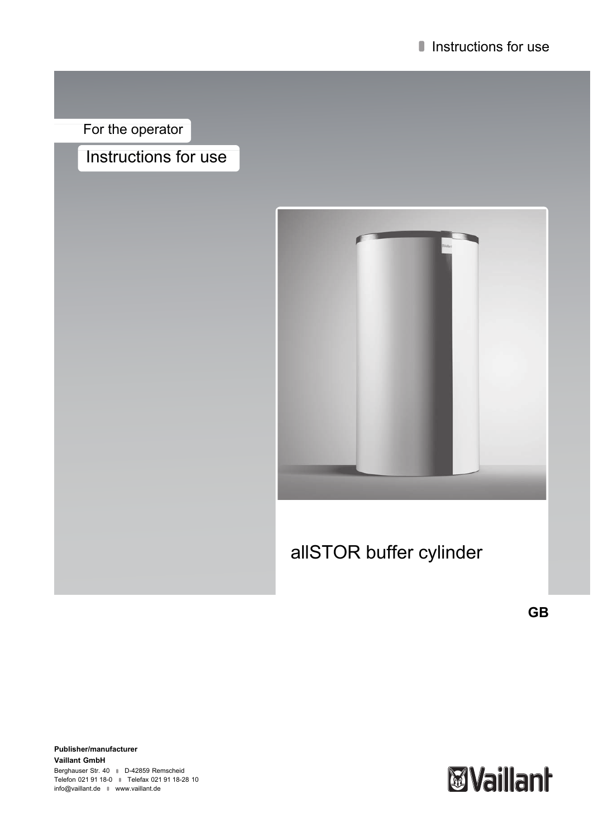For the operator

# Instructions for use



# allSTOR buffer cylinder

**GB**

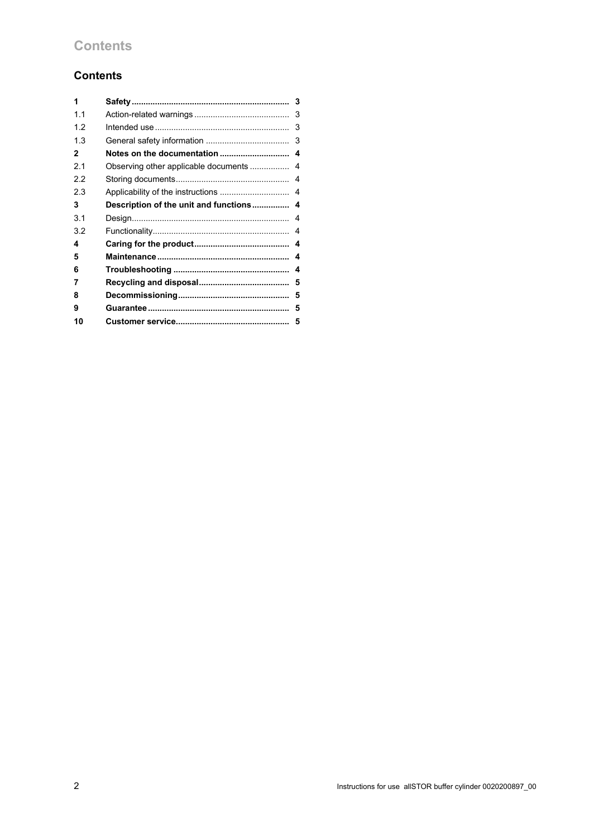# **Contents**

## **Contents**

| 1              |                                      |   |
|----------------|--------------------------------------|---|
| 1 <sub>1</sub> |                                      | 3 |
| 1.2            |                                      | 3 |
| 1.3            |                                      | 3 |
| 2              |                                      |   |
| 2.1            | Observing other applicable documents | 4 |
| 2.2            |                                      | 4 |
| 2.3            |                                      | 4 |
| 3              |                                      |   |
| 3.1            |                                      | 4 |
| 3.2            |                                      | 4 |
| 4              |                                      |   |
| 5              |                                      |   |
| 6              |                                      | 4 |
| 7              |                                      |   |
| 8              |                                      |   |
| 9              |                                      | 5 |
| 10             |                                      |   |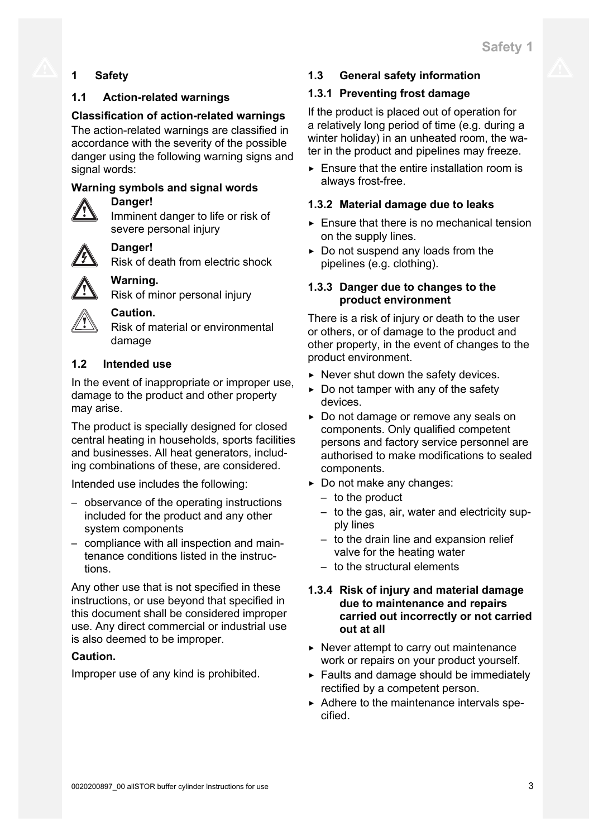# **1 Safety**

## **1.1 Action-related warnings**

## **Classification of action-related warnings**

The action-related warnings are classified in accordance with the severity of the possible danger using the following warning signs and signal words:

## **Warning symbols and signal words**

## **Danger!**

Imminent danger to life or risk of severe personal injury

## **Danger!**

Risk of death from electric shock

## **Warning.**

Risk of minor personal injury



## **Caution.**

Risk of material or environmental damage

## **1.2 Intended use**

In the event of inappropriate or improper use, damage to the product and other property may arise.

The product is specially designed for closed central heating in households, sports facilities and businesses. All heat generators, including combinations of these, are considered.

Intended use includes the following:

- observance of the operating instructions included for the product and any other system components
- compliance with all inspection and maintenance conditions listed in the instructions.

Any other use that is not specified in these instructions, or use beyond that specified in this document shall be considered improper use. Any direct commercial or industrial use is also deemed to be improper.

## **Caution.**

Improper use of any kind is prohibited.

## **1.3 General safety information**

## **1.3.1 Preventing frost damage**

If the product is placed out of operation for a relatively long period of time (e.g. during a winter holiday) in an unheated room, the water in the product and pipelines may freeze.

 $\triangleright$  Ensure that the entire installation room is always frost-free.

## **1.3.2 Material damage due to leaks**

- $\blacktriangleright$  Ensure that there is no mechanical tension on the supply lines.
- $\triangleright$  Do not suspend any loads from the pipelines (e.g. clothing).

## **1.3.3 Danger due to changes to the product environment**

There is a risk of injury or death to the user or others, or of damage to the product and other property, in the event of changes to the product environment.

- $\triangleright$  Never shut down the safety devices.
- $\triangleright$  Do not tamper with any of the safety devices.
- ▶ Do not damage or remove any seals on components. Only qualified competent persons and factory service personnel are authorised to make modifications to sealed components.
- ▶ Do not make any changes:
	- to the product
	- to the gas, air, water and electricity supply lines
	- to the drain line and expansion relief valve for the heating water
	- to the structural elements

## **1.3.4 Risk of injury and material damage due to maintenance and repairs carried out incorrectly or not carried out at all**

- $\triangleright$  Never attempt to carry out maintenance work or repairs on your product yourself.
- $\blacktriangleright$  Faults and damage should be immediately rectified by a competent person.
- ▶ Adhere to the maintenance intervals specified.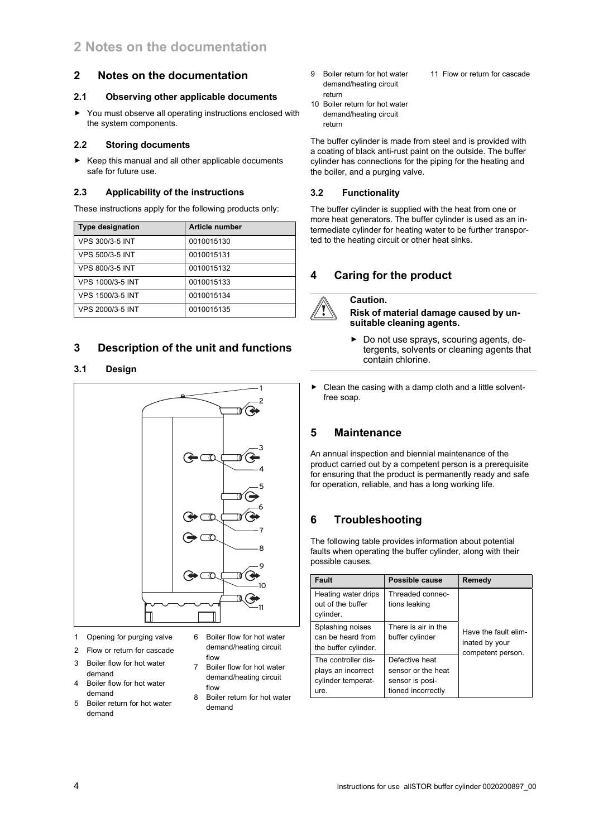#### **2 Notes on the documentation**

#### **2.1 Observing other applicable documents**

▶ You must observe all operating instructions enclosed with the system components.

#### **2.2 Storing documents**

▶ Keep this manual and all other applicable documents safe for future use.

#### **2.3 Applicability of the instructions**

These instructions apply for the following products only:

| <b>Type designation</b> | <b>Article number</b> |
|-------------------------|-----------------------|
| VPS 300/3-5 INT         | 0010015130            |
| <b>VPS 500/3-5 INT</b>  | 0010015131            |
| <b>VPS 800/3-5 INT</b>  | 0010015132            |
| VPS 1000/3-5 INT        | 0010015133            |
| VPS 1500/3-5 INT        | 0010015134            |
| VPS 2000/3-5 INT        | 0010015135            |

## **3 Description of the unit and functions**

#### **3.1 Design**



- 1 Opening for purging valve
- 2 Flow or return for cascade
- 3 Boiler flow for hot water demand
- 4 Boiler flow for hot water demand
- 5 Boiler return for hot water demand
- 6 Boiler flow for hot water demand/heating circuit flow
- 7 Boiler flow for hot water demand/heating circuit flow
- 8 Boiler return for hot water demand
- 9 Boiler return for hot water demand/heating circuit return 11 Flow or return for cascade
- 10 Boiler return for hot water demand/heating circuit return

The buffer cylinder is made from steel and is provided with a coating of black anti-rust paint on the outside. The buffer cylinder has connections for the piping for the heating and the boiler, and a purging valve.

#### **3.2 Functionality**

The buffer cylinder is supplied with the heat from one or more heat generators. The buffer cylinder is used as an intermediate cylinder for heating water to be further transported to the heating circuit or other heat sinks.

## **4 Caring for the product**

### **Caution.**

**Risk of material damage caused by unsuitable cleaning agents.**

- ▶ Do not use sprays, scouring agents, detergents, solvents or cleaning agents that contain chlorine.
- $\triangleright$  Clean the casing with a damp cloth and a little solventfree soap.

## **5 Maintenance**

An annual inspection and biennial maintenance of the product carried out by a competent person is a prerequisite for ensuring that the product is permanently ready and safe for operation, reliable, and has a long working life.

## **6 Troubleshooting**

The following table provides information about potential faults when operating the buffer cylinder, along with their possible causes.

| <b>Fault</b>                                                            | Possible cause                                                                | Remedy                                                      |
|-------------------------------------------------------------------------|-------------------------------------------------------------------------------|-------------------------------------------------------------|
| Heating water drips<br>out of the buffer<br>cylinder.                   | Threaded connec-<br>tions leaking                                             | Have the fault elim-<br>inated by your<br>competent person. |
| Splashing noises<br>can be heard from<br>the buffer cylinder.           | There is air in the<br>buffer cylinder                                        |                                                             |
| The controller dis-<br>plays an incorrect<br>cylinder temperat-<br>ure. | Defective heat<br>sensor or the heat<br>sensor is posi-<br>tioned incorrectly |                                                             |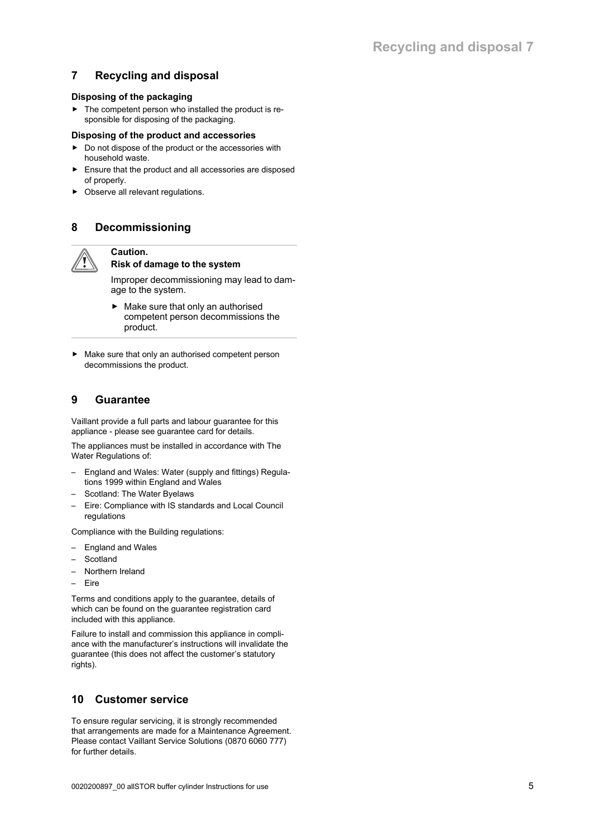## **7 Recycling and disposal**

#### **Disposing of the packaging**

 $\blacktriangleright$  The competent person who installed the product is responsible for disposing of the packaging.

#### **Disposing of the product and accessories**

- ▶ Do not dispose of the product or the accessories with household waste.
- Ensure that the product and all accessories are disposed of properly.
- ▶ Observe all relevant regulations.

## **8 Decommissioning**

# **Caution.**

#### **Risk of damage to the system**

Improper decommissioning may lead to damage to the system.

- $\blacktriangleright$  Make sure that only an authorised competent person decommissions the product.
- ▶ Make sure that only an authorised competent person decommissions the product.

## **9 Guarantee**

Vaillant provide a full parts and labour guarantee for this appliance - please see guarantee card for details.

The appliances must be installed in accordance with The Water Regulations of:

- England and Wales: Water (supply and fittings) Regulations 1999 within England and Wales
- Scotland: The Water Byelaws
- Eire: Compliance with IS standards and Local Council regulations

Compliance with the Building regulations:

- England and Wales
- **Scotland**
- Northern Ireland
- Eire

Terms and conditions apply to the guarantee, details of which can be found on the guarantee registration card included with this appliance.

Failure to install and commission this appliance in compliance with the manufacturer's instructions will invalidate the guarantee (this does not affect the customer's statutory rights).

## **10 Customer service**

To ensure regular servicing, it is strongly recommended that arrangements are made for a Maintenance Agreement. Please contact Vaillant Service Solutions (0870 6060 777) for further details.